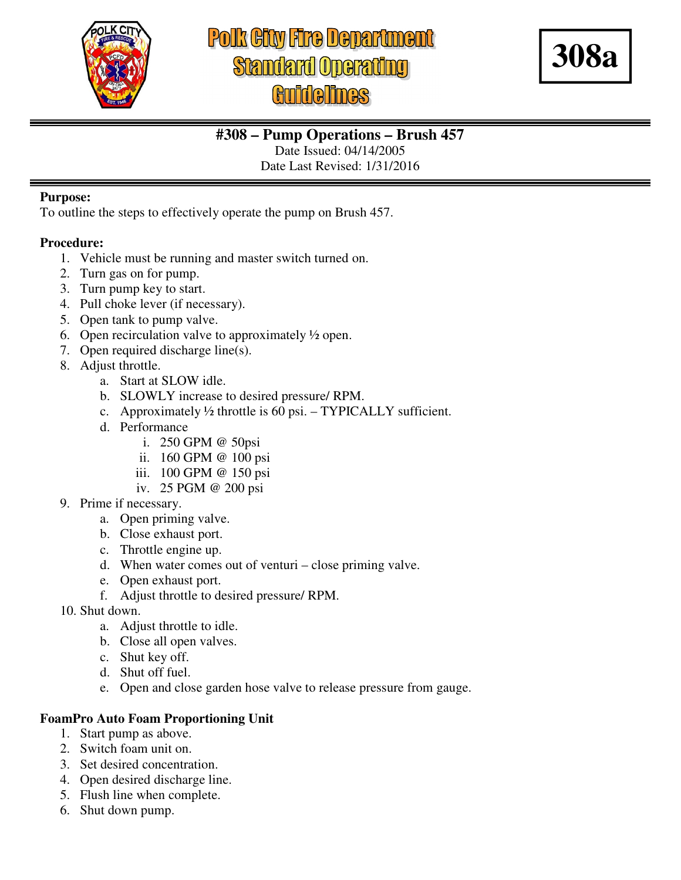

# **Polk City Fire Department Standard Operating**



## **#308 – Pump Operations – Brush 457**

Date Issued: 04/14/2005

Date Last Revised: 1/31/2016

#### **Purpose:**

To outline the steps to effectively operate the pump on Brush 457.

#### **Procedure:**

- 1. Vehicle must be running and master switch turned on.
- 2. Turn gas on for pump.
- 3. Turn pump key to start.
- 4. Pull choke lever (if necessary).
- 5. Open tank to pump valve.
- 6. Open recirculation valve to approximately  $\frac{1}{2}$  open.
- 7. Open required discharge line(s).
- 8. Adjust throttle.
	- a. Start at SLOW idle.
	- b. SLOWLY increase to desired pressure/ RPM.
	- c. Approximately  $\frac{1}{2}$  throttle is 60 psi. TYPICALLY sufficient.
	- d. Performance
		- i. 250 GPM @ 50psi
		- ii. 160 GPM @ 100 psi
		- iii. 100 GPM @ 150 psi
		- iv. 25 PGM @ 200 psi
- 9. Prime if necessary.
	- a. Open priming valve.
	- b. Close exhaust port.
	- c. Throttle engine up.
	- d. When water comes out of venturi close priming valve.
	- e. Open exhaust port.
	- f. Adjust throttle to desired pressure/ RPM.
- 10. Shut down.
	- a. Adjust throttle to idle.
	- b. Close all open valves.
	- c. Shut key off.
	- d. Shut off fuel.
	- e. Open and close garden hose valve to release pressure from gauge.

#### **FoamPro Auto Foam Proportioning Unit**

- 1. Start pump as above.
- 2. Switch foam unit on.
- 3. Set desired concentration.
- 4. Open desired discharge line.
- 5. Flush line when complete.
- 6. Shut down pump.